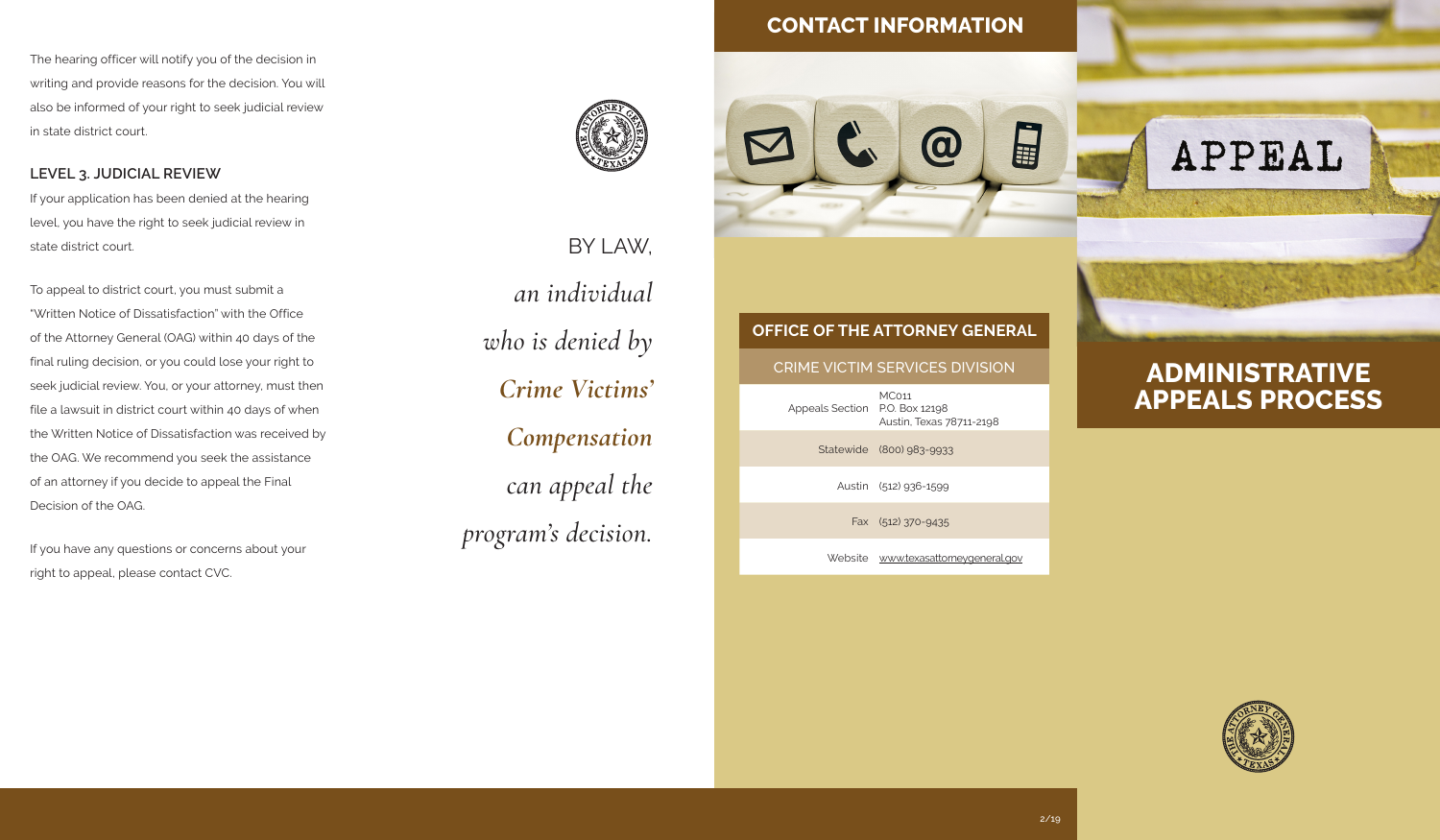The hearing officer will notify you of the decision in writing and provide reasons for the decision. You will also be informed of your right to seek judicial review in state district court.

**LEVEL 3. JUDICIAL REVIEW** If your application has been denied at the hearing level, you have the right to seek judicial review in state district court.

To appeal to district court, you must submit a "Written Notice of Dissatisfaction" with the Office of the Attorney General (OAG) within 40 days of the final ruling decision, or you could lose your right to seek judicial review. You, or your attorney, must then file a lawsuit in district court within 40 days of when the Written Notice of Dissatisfaction was received by the OAG. We recommend you seek the assistance of an attorney if you decide to appeal the Final Decision of the OAG.

If you have any questions or concerns about your right to appeal, please contact CVC.



BY LAW, *an individual who is denied by Crime Victims' Compensation can appeal the program's decision.*

## **CONTACT INFORMATION**







## **ADMINISTRATIVE APPEALS PROCESS**



# **OFFICE OF THE ATTORNEY GENERAL** CRIME VICTIM SERVICES DIVISION Appeals Section P.O. Box 12198

Statewide (800) 983-9933

Austin (512) 936-1599

MC011

Fax (512) 370-9435

Website www.texasattorneygeneral.gov

Austin, Texas 78711-2198